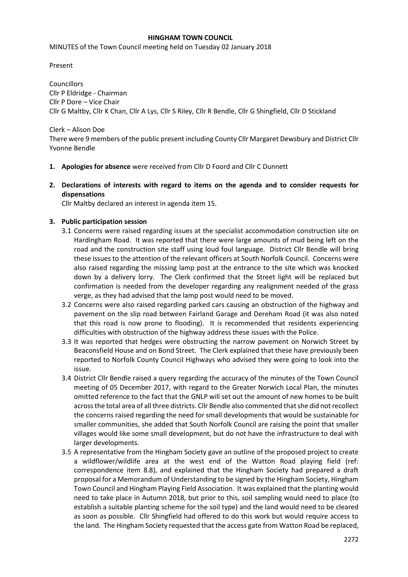#### **HINGHAM TOWN COUNCIL**

MINUTES of the Town Council meeting held on Tuesday 02 January 2018

Present

Councillors Cllr P Eldridge - Chairman Cllr P Dore – Vice Chair Cllr G Maltby, Cllr K Chan, Cllr A Lys, Cllr S Riley, Cllr R Bendle, Cllr G Shingfield, Cllr D Stickland

#### Clerk – Alison Doe There were 9 members of the public present including County Cllr Margaret Dewsbury and District Cllr Yvonne Bendle

- **1. Apologies for absence** were received from Cllr D Foord and Cllr C Dunnett
- **2. Declarations of interests with regard to items on the agenda and to consider requests for dispensations**

Cllr Maltby declared an interest in agenda item 15.

#### **3. Public participation session**

- 3.1 Concerns were raised regarding issues at the specialist accommodation construction site on Hardingham Road. It was reported that there were large amounts of mud being left on the road and the construction site staff using loud foul language. District Cllr Bendle will bring these issues to the attention of the relevant officers at South Norfolk Council. Concerns were also raised regarding the missing lamp post at the entrance to the site which was knocked down by a delivery lorry. The Clerk confirmed that the Street light will be replaced but confirmation is needed from the developer regarding any realignment needed of the grass verge, as they had advised that the lamp post would need to be moved.
- 3.2 Concerns were also raised regarding parked cars causing an obstruction of the highway and pavement on the slip road between Fairland Garage and Dereham Road (it was also noted that this road is now prone to flooding). It is recommended that residents experiencing difficulties with obstruction of the highway address these issues with the Police.
- 3.3 It was reported that hedges were obstructing the narrow pavement on Norwich Street by Beaconsfield House and on Bond Street. The Clerk explained that these have previously been reported to Norfolk County Council Highways who advised they were going to look into the issue.
- 3.4 District Cllr Bendle raised a query regarding the accuracy of the minutes of the Town Council meeting of 05 December 2017, with regard to the Greater Norwich Local Plan, the minutes omitted reference to the fact that the GNLP will set out the amount of new homes to be built across the total area of all three districts. Cllr Bendle also commented that she did not recollect the concerns raised regarding the need for small developments that would be sustainable for smaller communities, she added that South Norfolk Council are raising the point that smaller villages would like some small development, but do not have the infrastructure to deal with larger developments.
- 3.5 A representative from the Hingham Society gave an outline of the proposed project to create a wildflower/wildlife area at the west end of the Watton Road playing field (ref: correspondence item 8.8), and explained that the Hingham Society had prepared a draft proposal for a Memorandum of Understanding to be signed by the Hingham Society, Hingham Town Council and Hingham Playing Field Association. It was explained that the planting would need to take place in Autumn 2018, but prior to this, soil sampling would need to place (to establish a suitable planting scheme for the soil type) and the land would need to be cleared as soon as possible. Cllr Shingfield had offered to do this work but would require access to the land. The Hingham Society requested that the access gate from Watton Road be replaced,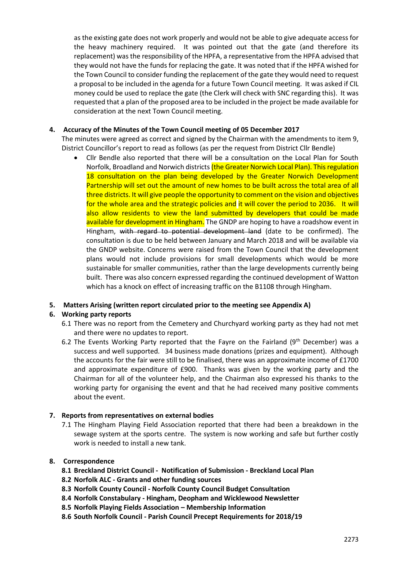as the existing gate does not work properly and would not be able to give adequate access for the heavy machinery required. It was pointed out that the gate (and therefore its replacement) was the responsibility of the HPFA, a representative from the HPFA advised that they would not have the funds for replacing the gate. It was noted that if the HPFA wished for the Town Council to consider funding the replacement of the gate they would need to request a proposal to be included in the agenda for a future Town Council meeting. It was asked if CIL money could be used to replace the gate (the Clerk will check with SNC regarding this). It was requested that a plan of the proposed area to be included in the project be made available for consideration at the next Town Council meeting.

# **4. Accuracy of the Minutes of the Town Council meeting of 05 December 2017**

The minutes were agreed as correct and signed by the Chairman with the amendments to item 9, District Councillor's report to read as follows (as per the request from District Cllr Bendle)

 Cllr Bendle also reported that there will be a consultation on the Local Plan for South Norfolk, Broadland and Norwich districts (the Greater Norwich Local Plan). This regulation 18 consultation on the plan being developed by the Greater Norwich Development Partnership will set out the amount of new homes to be built across the total area of all three districts. It will give people the opportunity to comment on the vision and objectives for the whole area and the strategic policies and it will cover the period to 2036. It will also allow residents to view the land submitted by developers that could be made available for development in Hingham. The GNDP are hoping to have a roadshow event in Hingham, with regard to potential development land (date to be confirmed). The consultation is due to be held between January and March 2018 and will be available via the GNDP website. Concerns were raised from the Town Council that the development plans would not include provisions for small developments which would be more sustainable for smaller communities, rather than the large developments currently being built. There was also concern expressed regarding the continued development of Watton which has a knock on effect of increasing traffic on the B1108 through Hingham.

#### **5. Matters Arising (written report circulated prior to the meeting see Appendix A)**

# **6. Working party reports**

- 6.1 There was no report from the Cemetery and Churchyard working party as they had not met and there were no updates to report.
- 6.2 The Events Working Party reported that the Fayre on the Fairland ( $9<sup>th</sup>$  December) was a success and well supported. 34 business made donations (prizes and equipment). Although the accounts for the fair were still to be finalised, there was an approximate income of £1700 and approximate expenditure of £900. Thanks was given by the working party and the Chairman for all of the volunteer help, and the Chairman also expressed his thanks to the working party for organising the event and that he had received many positive comments about the event.

#### **7. Reports from representatives on external bodies**

7.1 The Hingham Playing Field Association reported that there had been a breakdown in the sewage system at the sports centre. The system is now working and safe but further costly work is needed to install a new tank.

#### **8. Correspondence**

- **8.1 Breckland District Council - Notification of Submission - Breckland Local Plan**
- **8.2 Norfolk ALC - Grants and other funding sources**
- **8.3 Norfolk County Council - Norfolk County Council Budget Consultation**
- **8.4 Norfolk Constabulary - Hingham, Deopham and Wicklewood Newsletter**
- **8.5 Norfolk Playing Fields Association – Membership Information**
- **8.6 South Norfolk Council - Parish Council Precept Requirements for 2018/19**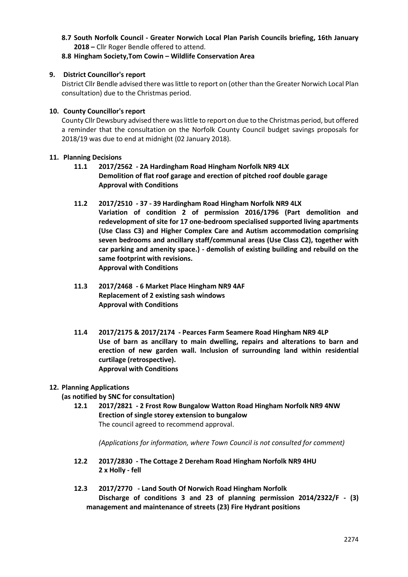**8.7 South Norfolk Council - Greater Norwich Local Plan Parish Councils briefing, 16th January 2018 –** Cllr Roger Bendle offered to attend.

## **8.8 Hingham Society,Tom Cowin – Wildlife Conservation Area**

#### **9. District Councillor's report**

District Cllr Bendle advised there was little to report on (other than the Greater Norwich Local Plan consultation) due to the Christmas period.

#### **10. County Councillor's report**

County Cllr Dewsbury advised there was little to report on due to the Christmas period, but offered a reminder that the consultation on the Norfolk County Council budget savings proposals for 2018/19 was due to end at midnight (02 January 2018).

#### **11. Planning Decisions**

- **11.1 2017/2562 - 2A Hardingham Road Hingham Norfolk NR9 4LX Demolition of flat roof garage and erection of pitched roof double garage Approval with Conditions**
- **11.2 2017/2510 - 37 - 39 Hardingham Road Hingham Norfolk NR9 4LX Variation of condition 2 of permission 2016/1796 (Part demolition and redevelopment of site for 17 one-bedroom specialised supported living apartments (Use Class C3) and Higher Complex Care and Autism accommodation comprising seven bedrooms and ancillary staff/communal areas (Use Class C2), together with car parking and amenity space.) - demolish of existing building and rebuild on the same footprint with revisions. Approval with Conditions**
- **11.3 2017/2468 - 6 Market Place Hingham NR9 4AF Replacement of 2 existing sash windows Approval with Conditions**
- **11.4 2017/2175 & 2017/2174 - Pearces Farm Seamere Road Hingham NR9 4LP Use of barn as ancillary to main dwelling, repairs and alterations to barn and erection of new garden wall. Inclusion of surrounding land within residential curtilage (retrospective). Approval with Conditions**

#### **12. Planning Applications**

**(as notified by SNC for consultation)**

**12.1 2017/2821 - 2 Frost Row Bungalow Watton Road Hingham Norfolk NR9 4NW Erection of single storey extension to bungalow**  The council agreed to recommend approval.

*(Applications for information, where Town Council is not consulted for comment)*

- **12.2 2017/2830 - The Cottage 2 Dereham Road Hingham Norfolk NR9 4HU 2 x Holly - fell**
- **12.3 2017/2770 - Land South Of Norwich Road Hingham Norfolk Discharge of conditions 3 and 23 of planning permission 2014/2322/F - (3) management and maintenance of streets (23) Fire Hydrant positions**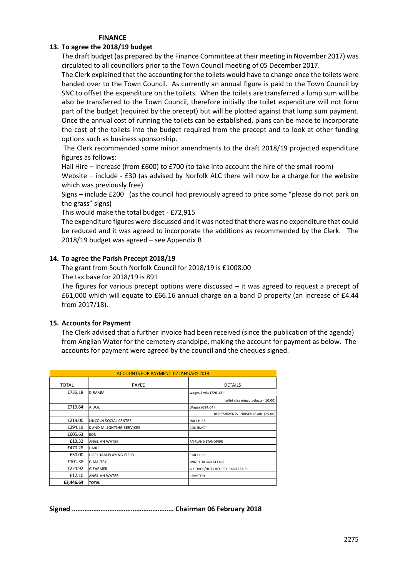#### **FINANCE**

# **13. To agree the 2018/19 budget**

The draft budget (as prepared by the Finance Committee at their meeting in November 2017) was circulated to all councillors prior to the Town Council meeting of 05 December 2017.

The Clerk explained that the accounting for the toilets would have to change once the toilets were handed over to the Town Council. As currently an annual figure is paid to the Town Council by SNC to offset the expenditure on the toilets. When the toilets are transferred a lump sum will be also be transferred to the Town Council, therefore initially the toilet expenditure will not form part of the budget (required by the precept) but will be plotted against that lump sum payment. Once the annual cost of running the toilets can be established, plans can be made to incorporate the cost of the toilets into the budget required from the precept and to look at other funding options such as business sponsorship.

The Clerk recommended some minor amendments to the draft 2018/19 projected expenditure figures as follows:

Hall Hire – increase (from £600) to £700 (to take into account the hire of the small room)

Website – include - £30 (as advised by Norfolk ALC there will now be a charge for the website which was previously free)

Signs – include £200 (as the council had previously agreed to price some "please do not park on the grass" signs)

This would make the total budget - £72,915

The expenditure figures were discussed and it was noted that there was no expenditure that could be reduced and it was agreed to incorporate the additions as recommended by the Clerk. The 2018/19 budget was agreed – see Appendix B

#### **14. To agree the Parish Precept 2018/19**

The grant from South Norfolk Council for 2018/19 is £1008.00

The tax base for 2018/19 is 891

The figures for various precept options were discussed – it was agreed to request a precept of £61,000 which will equate to £66.16 annual charge on a band D property (an increase of £4.44 from 2017/18).

#### **15. Accounts for Payment**

The Clerk advised that a further invoice had been received (since the publication of the agenda) from Anglian Water for the cemetery standpipe, making the account for payment as below. The accounts for payment were agreed by the council and the cheques signed.

| <b>ACCOUNTS FOR PAYMENT 02 JANUARY 2018</b> |                                       |                                    |  |  |  |
|---------------------------------------------|---------------------------------------|------------------------------------|--|--|--|
| <b>TOTAL</b>                                | PAYEE                                 | <b>DETAILS</b>                     |  |  |  |
| £736.18                                     | <b>D RAMM</b><br>wages 4 wks (726.18) |                                    |  |  |  |
|                                             |                                       | toilet cleaning products (10.00)   |  |  |  |
| £719.64                                     | A DOE                                 | Wages (694.64)                     |  |  |  |
|                                             |                                       | REFRESHMENTS CHRISTMAS AIR (25.00) |  |  |  |
| £219.00                                     | LINCOLN SOCIAL CENTRE                 | <b>HALL HIRE</b>                   |  |  |  |
| £294.19                                     | K AND M LIGHTING SERVICES             | CONTRACT                           |  |  |  |
| £605.63                                     | <b>EON</b>                            |                                    |  |  |  |
| £13.32                                      | ANGLIAN WATER                         | <b>FAIRLAND STANDPIPE</b>          |  |  |  |
| £470.28                                     | <b>HMRC</b>                           |                                    |  |  |  |
| £50.00                                      | HOCKHAM PLAYING FIELD                 | <b>STALL HIRE</b>                  |  |  |  |
| £101.38                                     | <b>G MALTBY</b>                       | WINE FOR BAR AT FAIR               |  |  |  |
| £224.92                                     | <b>G FARMER</b>                       | ALCOHOL/HOT CHOC ETC BAR AT FAIR   |  |  |  |
| £12.10                                      | ANGLIAN WATER                         | <b>CEMETERY</b>                    |  |  |  |
| £3,446.64                                   | <b>TOTAL</b>                          |                                    |  |  |  |

**Signed ………………………………………………… Chairman 06 February 2018**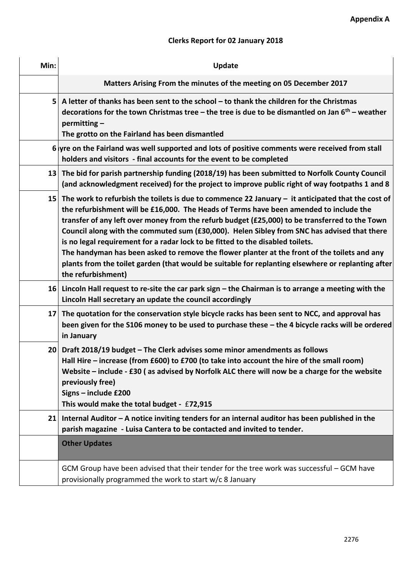# **Clerks Report for 02 January 2018**

| Min:            | <b>Update</b>                                                                                                                                                                                                                                                                                                                                                                                                                                                                                                                                                                                                                                                                                                |  |  |
|-----------------|--------------------------------------------------------------------------------------------------------------------------------------------------------------------------------------------------------------------------------------------------------------------------------------------------------------------------------------------------------------------------------------------------------------------------------------------------------------------------------------------------------------------------------------------------------------------------------------------------------------------------------------------------------------------------------------------------------------|--|--|
|                 | Matters Arising From the minutes of the meeting on 05 December 2017                                                                                                                                                                                                                                                                                                                                                                                                                                                                                                                                                                                                                                          |  |  |
|                 | 5 A letter of thanks has been sent to the school – to thank the children for the Christmas<br>decorations for the town Christmas tree - the tree is due to be dismantled on Jan $6th$ - weather<br>permitting-<br>The grotto on the Fairland has been dismantled                                                                                                                                                                                                                                                                                                                                                                                                                                             |  |  |
|                 | $6$ yre on the Fairland was well supported and lots of positive comments were received from stall<br>holders and visitors - final accounts for the event to be completed                                                                                                                                                                                                                                                                                                                                                                                                                                                                                                                                     |  |  |
|                 | 13 The bid for parish partnership funding (2018/19) has been submitted to Norfolk County Council<br>(and acknowledgment received) for the project to improve public right of way footpaths 1 and 8                                                                                                                                                                                                                                                                                                                                                                                                                                                                                                           |  |  |
| 15 <sup>1</sup> | The work to refurbish the toilets is due to commence 22 January $-$ it anticipated that the cost of<br>the refurbishment will be £16,000. The Heads of Terms have been amended to include the<br>transfer of any left over money from the refurb budget (£25,000) to be transferred to the Town<br>Council along with the commuted sum (£30,000). Helen Sibley from SNC has advised that there<br>is no legal requirement for a radar lock to be fitted to the disabled toilets.<br>The handyman has been asked to remove the flower planter at the front of the toilets and any<br>plants from the toilet garden (that would be suitable for replanting elsewhere or replanting after<br>the refurbishment) |  |  |
|                 | 16 Lincoln Hall request to re-site the car park sign – the Chairman is to arrange a meeting with the<br>Lincoln Hall secretary an update the council accordingly                                                                                                                                                                                                                                                                                                                                                                                                                                                                                                                                             |  |  |
| 17 <sup>1</sup> | The quotation for the conservation style bicycle racks has been sent to NCC, and approval has<br>been given for the S106 money to be used to purchase these - the 4 bicycle racks will be ordered<br>in January                                                                                                                                                                                                                                                                                                                                                                                                                                                                                              |  |  |
| 20 <sub>l</sub> | Draft 2018/19 budget - The Clerk advises some minor amendments as follows<br>Hall Hire - increase (from £600) to £700 (to take into account the hire of the small room)<br>Website - include - £30 (as advised by Norfolk ALC there will now be a charge for the website<br>previously free)<br>Signs - include £200<br>This would make the total budget - £72,915                                                                                                                                                                                                                                                                                                                                           |  |  |
| 21              | Internal Auditor - A notice inviting tenders for an internal auditor has been published in the<br>parish magazine - Luisa Cantera to be contacted and invited to tender.                                                                                                                                                                                                                                                                                                                                                                                                                                                                                                                                     |  |  |
|                 | <b>Other Updates</b>                                                                                                                                                                                                                                                                                                                                                                                                                                                                                                                                                                                                                                                                                         |  |  |
|                 | GCM Group have been advised that their tender for the tree work was successful – GCM have<br>provisionally programmed the work to start w/c 8 January                                                                                                                                                                                                                                                                                                                                                                                                                                                                                                                                                        |  |  |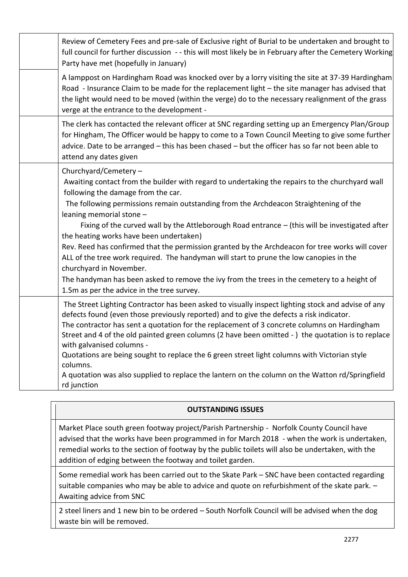| Review of Cemetery Fees and pre-sale of Exclusive right of Burial to be undertaken and brought to<br>full council for further discussion -- this will most likely be in February after the Cemetery Working<br>Party have met (hopefully in January)                                                                                                                                                                                                                                                                                                                                                                                                                                                                                                                                                   |
|--------------------------------------------------------------------------------------------------------------------------------------------------------------------------------------------------------------------------------------------------------------------------------------------------------------------------------------------------------------------------------------------------------------------------------------------------------------------------------------------------------------------------------------------------------------------------------------------------------------------------------------------------------------------------------------------------------------------------------------------------------------------------------------------------------|
| A lamppost on Hardingham Road was knocked over by a lorry visiting the site at 37-39 Hardingham<br>Road - Insurance Claim to be made for the replacement light - the site manager has advised that<br>the light would need to be moved (within the verge) do to the necessary realignment of the grass<br>verge at the entrance to the development -                                                                                                                                                                                                                                                                                                                                                                                                                                                   |
| The clerk has contacted the relevant officer at SNC regarding setting up an Emergency Plan/Group<br>for Hingham, The Officer would be happy to come to a Town Council Meeting to give some further<br>advice. Date to be arranged - this has been chased - but the officer has so far not been able to<br>attend any dates given                                                                                                                                                                                                                                                                                                                                                                                                                                                                       |
| Churchyard/Cemetery -<br>Awaiting contact from the builder with regard to undertaking the repairs to the churchyard wall<br>following the damage from the car.<br>The following permissions remain outstanding from the Archdeacon Straightening of the<br>leaning memorial stone -<br>Fixing of the curved wall by the Attleborough Road entrance - (this will be investigated after<br>the heating works have been undertaken)<br>Rev. Reed has confirmed that the permission granted by the Archdeacon for tree works will cover<br>ALL of the tree work required. The handyman will start to prune the low canopies in the<br>churchyard in November.<br>The handyman has been asked to remove the ivy from the trees in the cemetery to a height of<br>1.5m as per the advice in the tree survey. |
| The Street Lighting Contractor has been asked to visually inspect lighting stock and advise of any<br>defects found (even those previously reported) and to give the defects a risk indicator.<br>The contractor has sent a quotation for the replacement of 3 concrete columns on Hardingham<br>Street and 4 of the old painted green columns (2 have been omitted -) the quotation is to replace<br>with galvanised columns -<br>Quotations are being sought to replace the 6 green street light columns with Victorian style<br>columns.<br>A quotation was also supplied to replace the lantern on the column on the Watton rd/Springfield<br>rd junction                                                                                                                                          |

# **OUTSTANDING ISSUES**

Market Place south green footway project/Parish Partnership - Norfolk County Council have advised that the works have been programmed in for March 2018 - when the work is undertaken, remedial works to the section of footway by the public toilets will also be undertaken, with the addition of edging between the footway and toilet garden.

Some remedial work has been carried out to the Skate Park – SNC have been contacted regarding suitable companies who may be able to advice and quote on refurbishment of the skate park. – Awaiting advice from SNC

2 steel liners and 1 new bin to be ordered – South Norfolk Council will be advised when the dog waste bin will be removed.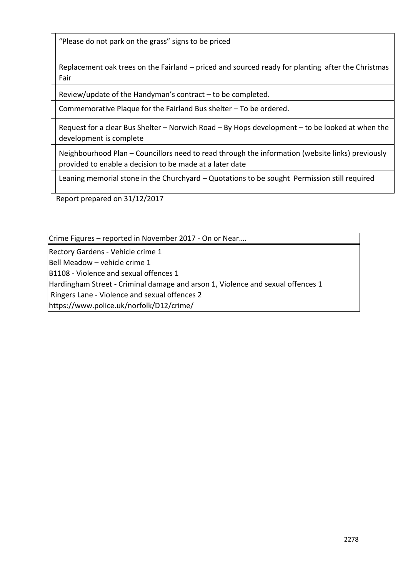"Please do not park on the grass" signs to be priced

Replacement oak trees on the Fairland – priced and sourced ready for planting after the Christmas Fair

Review/update of the Handyman's contract – to be completed.

Commemorative Plaque for the Fairland Bus shelter – To be ordered.

Request for a clear Bus Shelter – Norwich Road – By Hops development – to be looked at when the development is complete

Neighbourhood Plan – Councillors need to read through the information (website links) previously provided to enable a decision to be made at a later date

Leaning memorial stone in the Churchyard – Quotations to be sought Permission still required

Report prepared on 31/12/2017

Crime Figures – reported in November 2017 - On or Near….

Rectory Gardens - Vehicle crime 1

Bell Meadow – vehicle crime 1

B1108 - Violence and sexual offences 1

Hardingham Street - Criminal damage and arson 1, Violence and sexual offences 1

Ringers Lane - Violence and sexual offences 2

https://www.police.uk/norfolk/D12/crime/